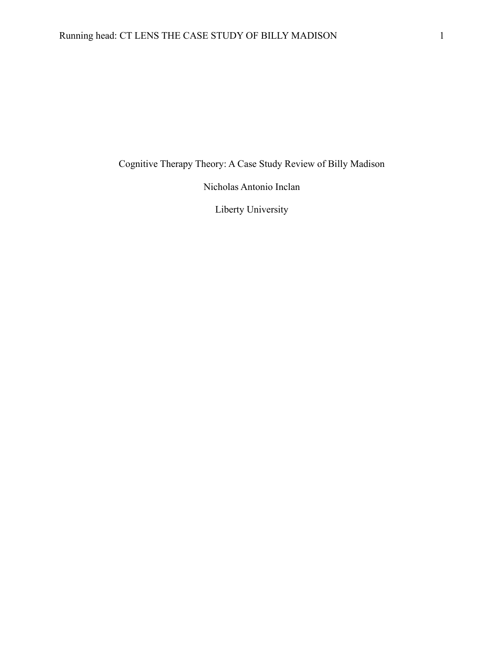Cognitive Therapy Theory: A Case Study Review of Billy Madison

Nicholas Antonio Inclan

Liberty University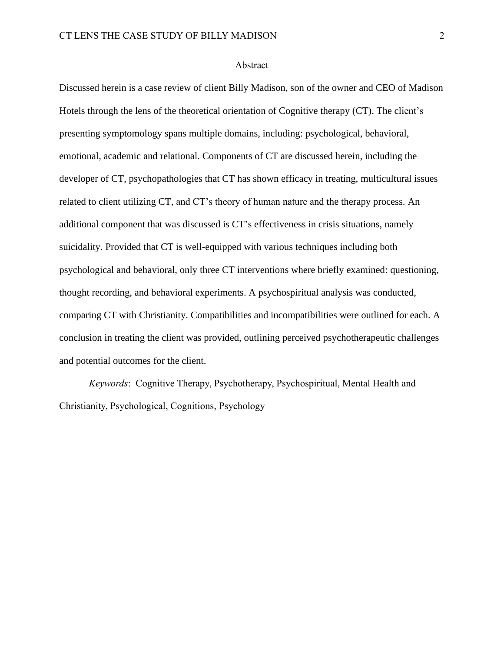## Abstract

Discussed herein is a case review of client Billy Madison, son of the owner and CEO of Madison Hotels through the lens of the theoretical orientation of Cognitive therapy (CT). The client's presenting symptomology spans multiple domains, including: psychological, behavioral, emotional, academic and relational. Components of CT are discussed herein, including the developer of CT, psychopathologies that CT has shown efficacy in treating, multicultural issues related to client utilizing CT, and CT's theory of human nature and the therapy process. An additional component that was discussed is CT's effectiveness in crisis situations, namely suicidality. Provided that CT is well-equipped with various techniques including both psychological and behavioral, only three CT interventions where briefly examined: questioning, thought recording, and behavioral experiments. A psychospiritual analysis was conducted, comparing CT with Christianity. Compatibilities and incompatibilities were outlined for each. A conclusion in treating the client was provided, outlining perceived psychotherapeutic challenges and potential outcomes for the client.

*Keywords*: Cognitive Therapy, Psychotherapy, Psychospiritual, Mental Health and Christianity, Psychological, Cognitions, Psychology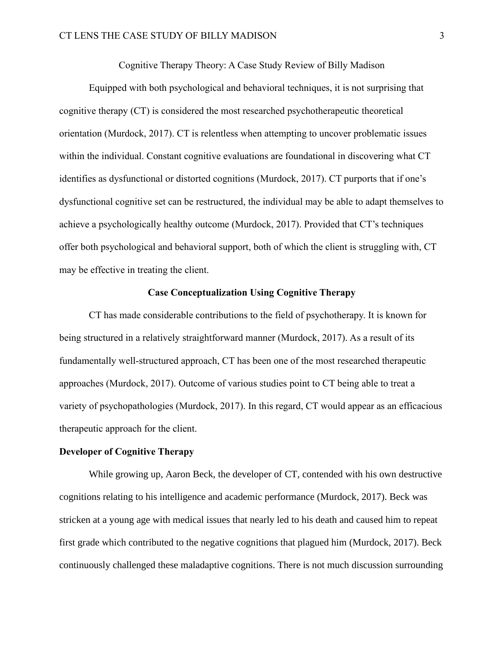Cognitive Therapy Theory: A Case Study Review of Billy Madison

Equipped with both psychological and behavioral techniques, it is not surprising that cognitive therapy (CT) is considered the most researched psychotherapeutic theoretical orientation (Murdock, 2017). CT is relentless when attempting to uncover problematic issues within the individual. Constant cognitive evaluations are foundational in discovering what CT identifies as dysfunctional or distorted cognitions (Murdock, 2017). CT purports that if one's dysfunctional cognitive set can be restructured, the individual may be able to adapt themselves to achieve a psychologically healthy outcome (Murdock, 2017). Provided that CT's techniques offer both psychological and behavioral support, both of which the client is struggling with, CT may be effective in treating the client.

### **Case Conceptualization Using Cognitive Therapy**

CT has made considerable contributions to the field of psychotherapy. It is known for being structured in a relatively straightforward manner (Murdock, 2017). As a result of its fundamentally well-structured approach, CT has been one of the most researched therapeutic approaches (Murdock, 2017). Outcome of various studies point to CT being able to treat a variety of psychopathologies (Murdock, 2017). In this regard, CT would appear as an efficacious therapeutic approach for the client.

# **Developer of Cognitive Therapy**

While growing up, Aaron Beck, the developer of CT, contended with his own destructive cognitions relating to his intelligence and academic performance (Murdock, 2017). Beck was stricken at a young age with medical issues that nearly led to his death and caused him to repeat first grade which contributed to the negative cognitions that plagued him (Murdock, 2017). Beck continuously challenged these maladaptive cognitions. There is not much discussion surrounding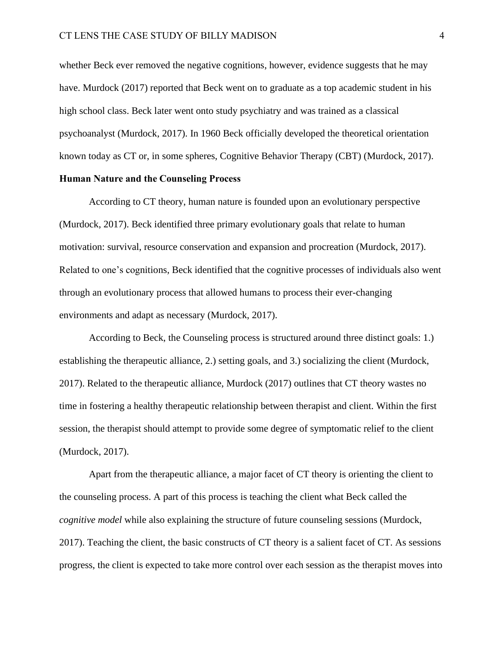whether Beck ever removed the negative cognitions, however, evidence suggests that he may have. Murdock (2017) reported that Beck went on to graduate as a top academic student in his high school class. Beck later went onto study psychiatry and was trained as a classical psychoanalyst (Murdock, 2017). In 1960 Beck officially developed the theoretical orientation known today as CT or, in some spheres, Cognitive Behavior Therapy (CBT) (Murdock, 2017).

# **Human Nature and the Counseling Process**

According to CT theory, human nature is founded upon an evolutionary perspective (Murdock, 2017). Beck identified three primary evolutionary goals that relate to human motivation: survival, resource conservation and expansion and procreation (Murdock, 2017). Related to one's cognitions, Beck identified that the cognitive processes of individuals also went through an evolutionary process that allowed humans to process their ever-changing environments and adapt as necessary (Murdock, 2017).

According to Beck, the Counseling process is structured around three distinct goals: 1.) establishing the therapeutic alliance, 2.) setting goals, and 3.) socializing the client (Murdock, 2017). Related to the therapeutic alliance, Murdock (2017) outlines that CT theory wastes no time in fostering a healthy therapeutic relationship between therapist and client. Within the first session, the therapist should attempt to provide some degree of symptomatic relief to the client (Murdock, 2017).

Apart from the therapeutic alliance, a major facet of CT theory is orienting the client to the counseling process. A part of this process is teaching the client what Beck called the *cognitive model* while also explaining the structure of future counseling sessions (Murdock, 2017). Teaching the client, the basic constructs of CT theory is a salient facet of CT. As sessions progress, the client is expected to take more control over each session as the therapist moves into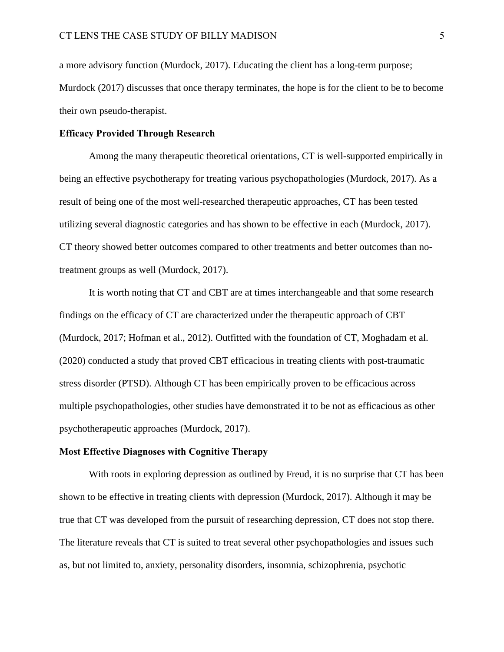a more advisory function (Murdock, 2017). Educating the client has a long-term purpose; Murdock (2017) discusses that once therapy terminates, the hope is for the client to be to become their own pseudo-therapist.

### **Efficacy Provided Through Research**

Among the many therapeutic theoretical orientations, CT is well-supported empirically in being an effective psychotherapy for treating various psychopathologies (Murdock, 2017). As a result of being one of the most well-researched therapeutic approaches, CT has been tested utilizing several diagnostic categories and has shown to be effective in each (Murdock, 2017). CT theory showed better outcomes compared to other treatments and better outcomes than notreatment groups as well (Murdock, 2017).

It is worth noting that CT and CBT are at times interchangeable and that some research findings on the efficacy of CT are characterized under the therapeutic approach of CBT (Murdock, 2017; Hofman et al., 2012). Outfitted with the foundation of CT, Moghadam et al. (2020) conducted a study that proved CBT efficacious in treating clients with post-traumatic stress disorder (PTSD). Although CT has been empirically proven to be efficacious across multiple psychopathologies, other studies have demonstrated it to be not as efficacious as other psychotherapeutic approaches (Murdock, 2017).

# **Most Effective Diagnoses with Cognitive Therapy**

With roots in exploring depression as outlined by Freud, it is no surprise that CT has been shown to be effective in treating clients with depression (Murdock, 2017). Although it may be true that CT was developed from the pursuit of researching depression, CT does not stop there. The literature reveals that CT is suited to treat several other psychopathologies and issues such as, but not limited to, anxiety, personality disorders, insomnia, schizophrenia, psychotic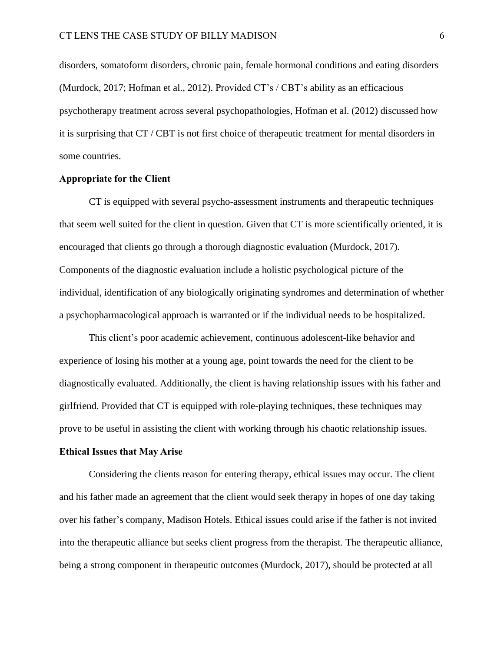disorders, somatoform disorders, chronic pain, female hormonal conditions and eating disorders (Murdock, 2017; Hofman et al., 2012). Provided CT's / CBT's ability as an efficacious psychotherapy treatment across several psychopathologies, Hofman et al. (2012) discussed how it is surprising that CT / CBT is not first choice of therapeutic treatment for mental disorders in some countries.

# **Appropriate for the Client**

CT is equipped with several psycho-assessment instruments and therapeutic techniques that seem well suited for the client in question. Given that CT is more scientifically oriented, it is encouraged that clients go through a thorough diagnostic evaluation (Murdock, 2017). Components of the diagnostic evaluation include a holistic psychological picture of the individual, identification of any biologically originating syndromes and determination of whether a psychopharmacological approach is warranted or if the individual needs to be hospitalized.

This client's poor academic achievement, continuous adolescent-like behavior and experience of losing his mother at a young age, point towards the need for the client to be diagnostically evaluated. Additionally, the client is having relationship issues with his father and girlfriend. Provided that CT is equipped with role-playing techniques, these techniques may prove to be useful in assisting the client with working through his chaotic relationship issues.

### **Ethical Issues that May Arise**

Considering the clients reason for entering therapy, ethical issues may occur. The client and his father made an agreement that the client would seek therapy in hopes of one day taking over his father's company, Madison Hotels. Ethical issues could arise if the father is not invited into the therapeutic alliance but seeks client progress from the therapist. The therapeutic alliance, being a strong component in therapeutic outcomes (Murdock, 2017), should be protected at all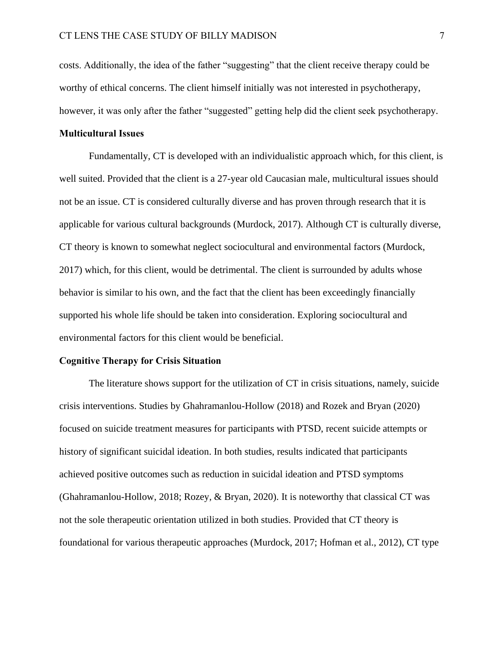costs. Additionally, the idea of the father "suggesting" that the client receive therapy could be worthy of ethical concerns. The client himself initially was not interested in psychotherapy, however, it was only after the father "suggested" getting help did the client seek psychotherapy.

## **Multicultural Issues**

Fundamentally, CT is developed with an individualistic approach which, for this client, is well suited. Provided that the client is a 27-year old Caucasian male, multicultural issues should not be an issue. CT is considered culturally diverse and has proven through research that it is applicable for various cultural backgrounds (Murdock, 2017). Although CT is culturally diverse, CT theory is known to somewhat neglect sociocultural and environmental factors (Murdock, 2017) which, for this client, would be detrimental. The client is surrounded by adults whose behavior is similar to his own, and the fact that the client has been exceedingly financially supported his whole life should be taken into consideration. Exploring sociocultural and environmental factors for this client would be beneficial.

#### **Cognitive Therapy for Crisis Situation**

The literature shows support for the utilization of CT in crisis situations, namely, suicide crisis interventions. Studies by Ghahramanlou-Hollow (2018) and Rozek and Bryan (2020) focused on suicide treatment measures for participants with PTSD, recent suicide attempts or history of significant suicidal ideation. In both studies, results indicated that participants achieved positive outcomes such as reduction in suicidal ideation and PTSD symptoms (Ghahramanlou-Hollow, 2018; Rozey, & Bryan, 2020). It is noteworthy that classical CT was not the sole therapeutic orientation utilized in both studies. Provided that CT theory is foundational for various therapeutic approaches (Murdock, 2017; Hofman et al., 2012), CT type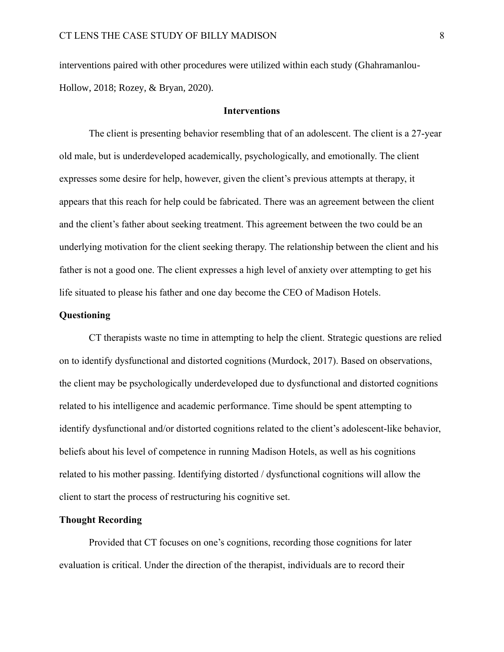interventions paired with other procedures were utilized within each study (Ghahramanlou-Hollow, 2018; Rozey, & Bryan, 2020).

### **Interventions**

The client is presenting behavior resembling that of an adolescent. The client is a 27-year old male, but is underdeveloped academically, psychologically, and emotionally. The client expresses some desire for help, however, given the client's previous attempts at therapy, it appears that this reach for help could be fabricated. There was an agreement between the client and the client's father about seeking treatment. This agreement between the two could be an underlying motivation for the client seeking therapy. The relationship between the client and his father is not a good one. The client expresses a high level of anxiety over attempting to get his life situated to please his father and one day become the CEO of Madison Hotels.

# **Questioning**

CT therapists waste no time in attempting to help the client. Strategic questions are relied on to identify dysfunctional and distorted cognitions (Murdock, 2017). Based on observations, the client may be psychologically underdeveloped due to dysfunctional and distorted cognitions related to his intelligence and academic performance. Time should be spent attempting to identify dysfunctional and/or distorted cognitions related to the client's adolescent-like behavior, beliefs about his level of competence in running Madison Hotels, as well as his cognitions related to his mother passing. Identifying distorted / dysfunctional cognitions will allow the client to start the process of restructuring his cognitive set.

### **Thought Recording**

Provided that CT focuses on one's cognitions, recording those cognitions for later evaluation is critical. Under the direction of the therapist, individuals are to record their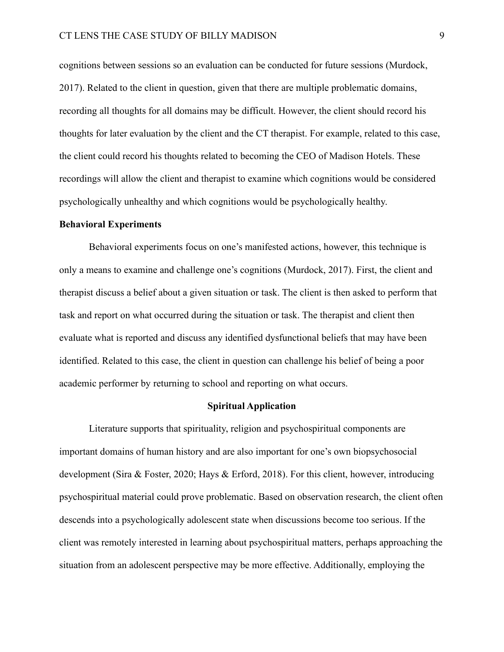cognitions between sessions so an evaluation can be conducted for future sessions (Murdock, 2017). Related to the client in question, given that there are multiple problematic domains, recording all thoughts for all domains may be difficult. However, the client should record his thoughts for later evaluation by the client and the CT therapist. For example, related to this case, the client could record his thoughts related to becoming the CEO of Madison Hotels. These recordings will allow the client and therapist to examine which cognitions would be considered psychologically unhealthy and which cognitions would be psychologically healthy.

#### **Behavioral Experiments**

Behavioral experiments focus on one's manifested actions, however, this technique is only a means to examine and challenge one's cognitions (Murdock, 2017). First, the client and therapist discuss a belief about a given situation or task. The client is then asked to perform that task and report on what occurred during the situation or task. The therapist and client then evaluate what is reported and discuss any identified dysfunctional beliefs that may have been identified. Related to this case, the client in question can challenge his belief of being a poor academic performer by returning to school and reporting on what occurs.

## **Spiritual Application**

Literature supports that spirituality, religion and psychospiritual components are important domains of human history and are also important for one's own biopsychosocial development (Sira & Foster, 2020; Hays & Erford, 2018). For this client, however, introducing psychospiritual material could prove problematic. Based on observation research, the client often descends into a psychologically adolescent state when discussions become too serious. If the client was remotely interested in learning about psychospiritual matters, perhaps approaching the situation from an adolescent perspective may be more effective. Additionally, employing the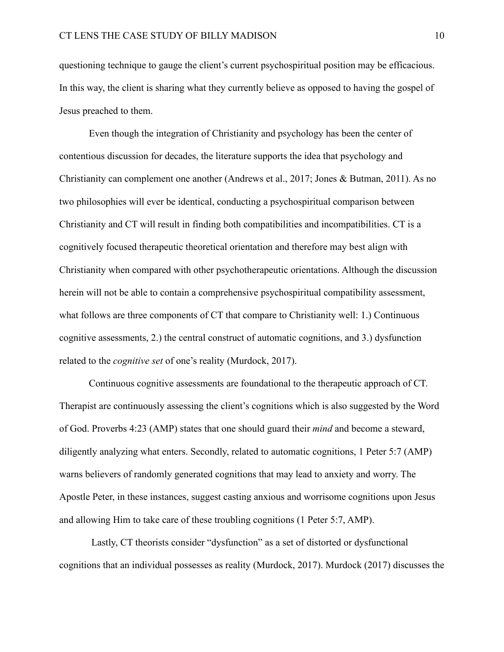questioning technique to gauge the client's current psychospiritual position may be efficacious. In this way, the client is sharing what they currently believe as opposed to having the gospel of Jesus preached to them.

Even though the integration of Christianity and psychology has been the center of contentious discussion for decades, the literature supports the idea that psychology and Christianity can complement one another (Andrews et al., 2017; Jones & Butman, 2011). As no two philosophies will ever be identical, conducting a psychospiritual comparison between Christianity and CT will result in finding both compatibilities and incompatibilities. CT is a cognitively focused therapeutic theoretical orientation and therefore may best align with Christianity when compared with other psychotherapeutic orientations. Although the discussion herein will not be able to contain a comprehensive psychospiritual compatibility assessment, what follows are three components of CT that compare to Christianity well: 1.) Continuous cognitive assessments, 2.) the central construct of automatic cognitions, and 3.) dysfunction related to the *cognitive set* of one's reality (Murdock, 2017).

Continuous cognitive assessments are foundational to the therapeutic approach of CT. Therapist are continuously assessing the client's cognitions which is also suggested by the Word of God. Proverbs 4:23 (AMP) states that one should guard their *mind* and become a steward, diligently analyzing what enters. Secondly, related to automatic cognitions, 1 Peter 5:7 (AMP) warns believers of randomly generated cognitions that may lead to anxiety and worry. The Apostle Peter, in these instances, suggest casting anxious and worrisome cognitions upon Jesus and allowing Him to take care of these troubling cognitions (1 Peter 5:7, AMP).

Lastly, CT theorists consider "dysfunction" as a set of distorted or dysfunctional cognitions that an individual possesses as reality (Murdock, 2017). Murdock (2017) discusses the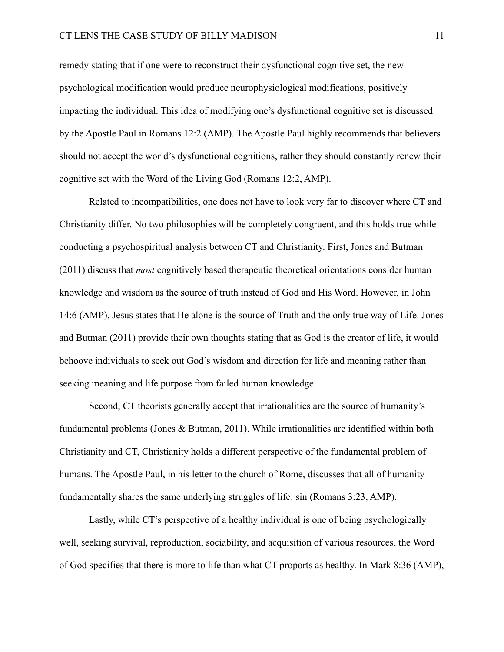remedy stating that if one were to reconstruct their dysfunctional cognitive set, the new psychological modification would produce neurophysiological modifications, positively impacting the individual. This idea of modifying one's dysfunctional cognitive set is discussed by the Apostle Paul in Romans 12:2 (AMP). The Apostle Paul highly recommends that believers should not accept the world's dysfunctional cognitions, rather they should constantly renew their cognitive set with the Word of the Living God (Romans 12:2, AMP).

Related to incompatibilities, one does not have to look very far to discover where CT and Christianity differ. No two philosophies will be completely congruent, and this holds true while conducting a psychospiritual analysis between CT and Christianity. First, Jones and Butman (2011) discuss that *most* cognitively based therapeutic theoretical orientations consider human knowledge and wisdom as the source of truth instead of God and His Word. However, in John 14:6 (AMP), Jesus states that He alone is the source of Truth and the only true way of Life. Jones and Butman (2011) provide their own thoughts stating that as God is the creator of life, it would behoove individuals to seek out God's wisdom and direction for life and meaning rather than seeking meaning and life purpose from failed human knowledge.

Second, CT theorists generally accept that irrationalities are the source of humanity's fundamental problems (Jones & Butman, 2011). While irrationalities are identified within both Christianity and CT, Christianity holds a different perspective of the fundamental problem of humans. The Apostle Paul, in his letter to the church of Rome, discusses that all of humanity fundamentally shares the same underlying struggles of life: sin (Romans 3:23, AMP).

Lastly, while CT's perspective of a healthy individual is one of being psychologically well, seeking survival, reproduction, sociability, and acquisition of various resources, the Word of God specifies that there is more to life than what CT proports as healthy. In Mark 8:36 (AMP),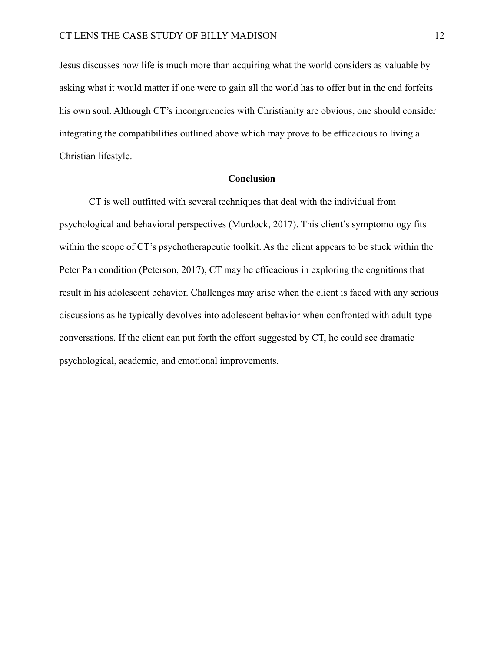Jesus discusses how life is much more than acquiring what the world considers as valuable by asking what it would matter if one were to gain all the world has to offer but in the end forfeits his own soul. Although CT's incongruencies with Christianity are obvious, one should consider integrating the compatibilities outlined above which may prove to be efficacious to living a Christian lifestyle.

# **Conclusion**

CT is well outfitted with several techniques that deal with the individual from psychological and behavioral perspectives (Murdock, 2017). This client's symptomology fits within the scope of CT's psychotherapeutic toolkit. As the client appears to be stuck within the Peter Pan condition (Peterson, 2017), CT may be efficacious in exploring the cognitions that result in his adolescent behavior. Challenges may arise when the client is faced with any serious discussions as he typically devolves into adolescent behavior when confronted with adult-type conversations. If the client can put forth the effort suggested by CT, he could see dramatic psychological, academic, and emotional improvements.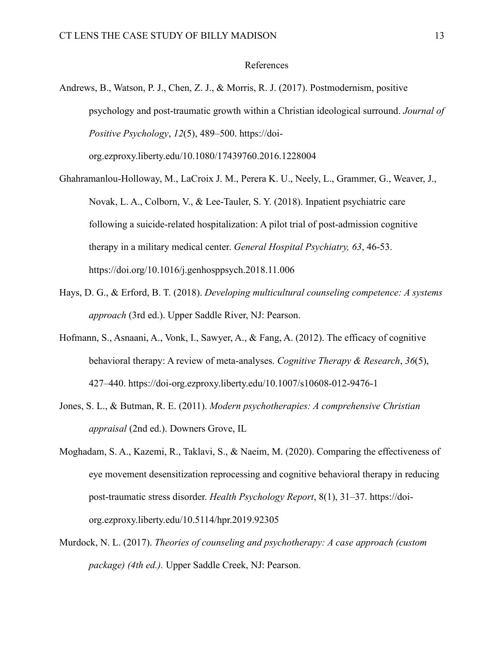## References

- Andrews, B., Watson, P. J., Chen, Z. J., & Morris, R. J. (2017). Postmodernism, positive psychology and post-traumatic growth within a Christian ideological surround. *Journal of Positive Psychology*, *12*(5), 489–500. https://doiorg.ezproxy.liberty.edu/10.1080/17439760.2016.1228004
- Ghahramanlou-Holloway, M., LaCroix J. M., Perera K. U., Neely, L., Grammer, G., Weaver, J., Novak, L. A., Colborn, V., & Lee-Tauler, S. Y. (2018). Inpatient psychiatric care following a suicide-related hospitalization: A pilot trial of post-admission cognitive therapy in a military medical center. *General Hospital Psychiatry, 63*, 46-53. https://doi.org/10.1016/j.genhosppsych.2018.11.006
- Hays, D. G., & Erford, B. T. (2018). *Developing multicultural counseling competence: A systems approach* (3rd ed.). Upper Saddle River, NJ: Pearson.
- Hofmann, S., Asnaani, A., Vonk, I., Sawyer, A., & Fang, A. (2012). The efficacy of cognitive behavioral therapy: A review of meta-analyses. *Cognitive Therapy & Research*, *36*(5), 427–440. https://doi-org.ezproxy.liberty.edu/10.1007/s10608-012-9476-1
- Jones, S. L., & Butman, R. E. (2011). *Modern psychotherapies: A comprehensive Christian appraisal* (2nd ed.). Downers Grove, IL
- Moghadam, S. A., Kazemi, R., Taklavi, S., & Naeim, M. (2020). Comparing the effectiveness of eye movement desensitization reprocessing and cognitive behavioral therapy in reducing post-traumatic stress disorder. *Health Psychology Report*, 8(1), 31–37. https://doiorg.ezproxy.liberty.edu/10.5114/hpr.2019.92305
- Murdock, N. L. (2017). *Theories of counseling and psychotherapy: A case approach (custom package) (4th ed.).* Upper Saddle Creek, NJ: Pearson.